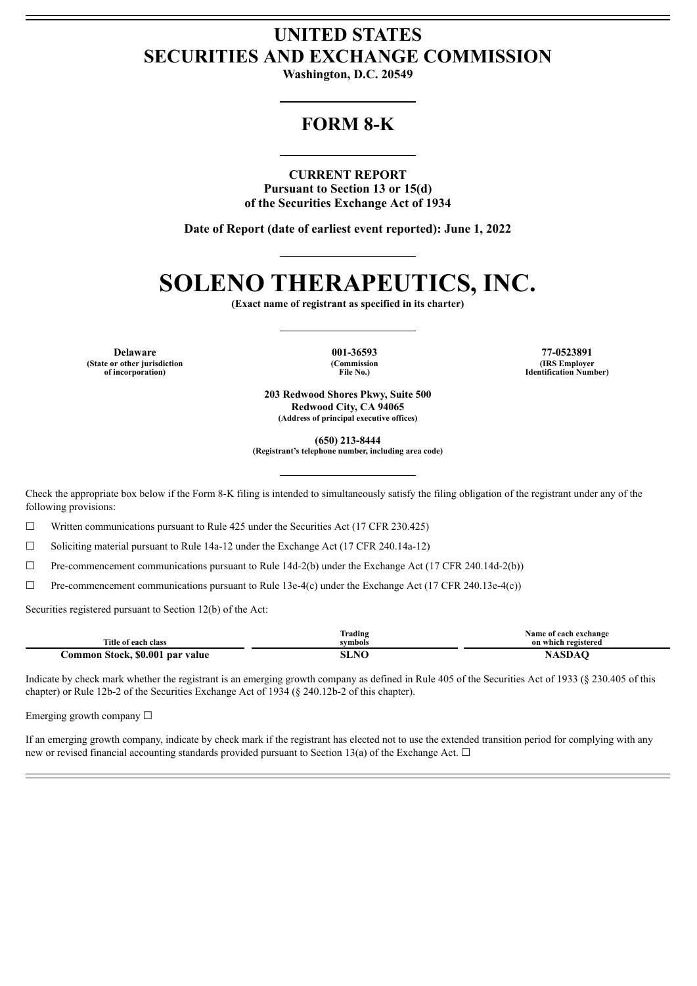# **UNITED STATES SECURITIES AND EXCHANGE COMMISSION**

**Washington, D.C. 20549**

# **FORM 8-K**

**CURRENT REPORT Pursuant to Section 13 or 15(d) of the Securities Exchange Act of 1934**

**Date of Report (date of earliest event reported): June 1, 2022**

# **SOLENO THERAPEUTICS, INC.**

**(Exact name of registrant as specified in its charter)**

**(State or other jurisdiction of incorporation)**

**(Commission File No.)**

**Delaware 001-36593 77-0523891 (IRS Employer Identification Number)**

> **203 Redwood Shores Pkwy, Suite 500 Redwood City, CA 94065 (Address of principal executive offices)**

> > **(650) 213-8444**

**(Registrant's telephone number, including area code)**

Check the appropriate box below if the Form 8-K filing is intended to simultaneously satisfy the filing obligation of the registrant under any of the following provisions:

 $\Box$  Written communications pursuant to Rule 425 under the Securities Act (17 CFR 230.425)

 $\Box$  Soliciting material pursuant to Rule 14a-12 under the Exchange Act (17 CFR 240.14a-12)

☐ Pre-commencement communications pursuant to Rule 14d-2(b) under the Exchange Act (17 CFR 240.14d-2(b))

 $\Box$  Pre-commencement communications pursuant to Rule 13e-4(c) under the Exchange Act (17 CFR 240.13e-4(c))

Securities registered pursuant to Section 12(b) of the Act:

|                                              | $\sim$<br>rading<br>. | Name of each exchange<br>. |
|----------------------------------------------|-----------------------|----------------------------|
| Title of each class                          | symbols               | on which registered        |
| <b>Stock, \$0.001</b><br>.ommon<br>par value | NIC                   |                            |

Indicate by check mark whether the registrant is an emerging growth company as defined in Rule 405 of the Securities Act of 1933 (§ 230.405 of this chapter) or Rule 12b-2 of the Securities Exchange Act of 1934 (§ 240.12b-2 of this chapter).

Emerging growth company  $\Box$ 

If an emerging growth company, indicate by check mark if the registrant has elected not to use the extended transition period for complying with any new or revised financial accounting standards provided pursuant to Section 13(a) of the Exchange Act.  $\Box$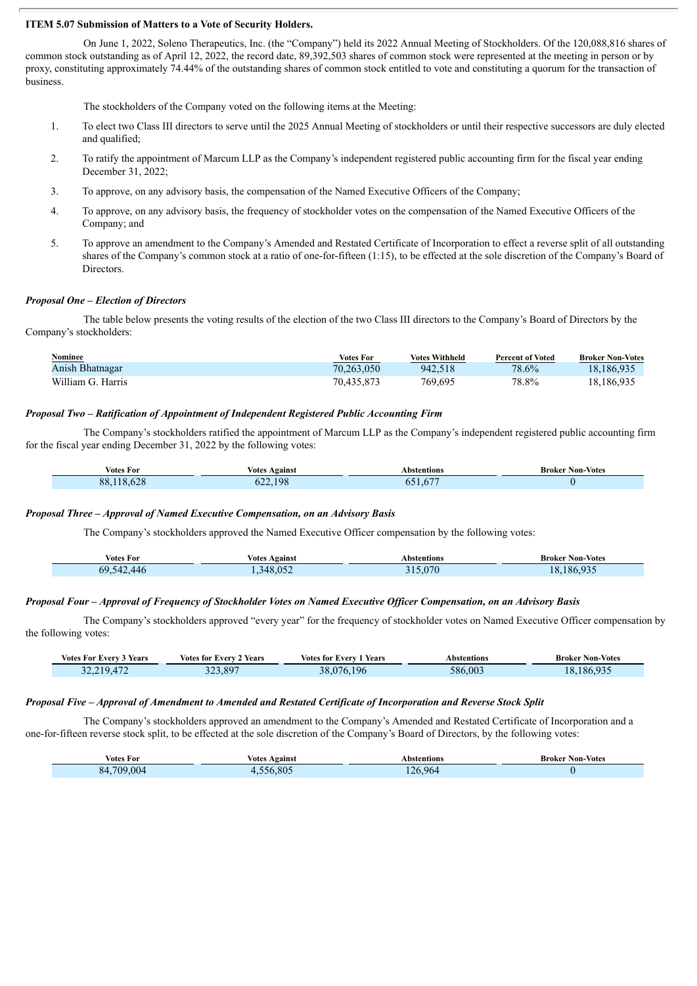## **ITEM 5.07 Submission of Matters to a Vote of Security Holders.**

On June 1, 2022, Soleno Therapeutics, Inc. (the "Company") held its 2022 Annual Meeting of Stockholders. Of the 120,088,816 shares of common stock outstanding as of April 12, 2022, the record date, 89,392,503 shares of common stock were represented at the meeting in person or by proxy, constituting approximately 74.44% of the outstanding shares of common stock entitled to vote and constituting a quorum for the transaction of business.

The stockholders of the Company voted on the following items at the Meeting:

- 1. To elect two Class III directors to serve until the 2025 Annual Meeting of stockholders or until their respective successors are duly elected and qualified;
- 2. To ratify the appointment of Marcum LLP as the Company's independent registered public accounting firm for the fiscal year ending December 31, 2022;
- 3. To approve, on any advisory basis, the compensation of the Named Executive Officers of the Company;
- 4. To approve, on any advisory basis, the frequency of stockholder votes on the compensation of the Named Executive Officers of the Company; and
- 5. To approve an amendment to the Company's Amended and Restated Certificate of Incorporation to effect a reverse split of all outstanding shares of the Company's common stock at a ratio of one-for-fifteen (1:15), to be effected at the sole discretion of the Company's Board of Directors.

### *Proposal One – Election of Directors*

The table below presents the voting results of the election of the two Class III directors to the Company's Board of Directors by the Company's stockholders:

| Nominee           | <b>Votes For</b> | <b>Votes Withheld</b> | <b>Percent of Voted</b> | <b>Broker Non-Votes</b> |
|-------------------|------------------|-----------------------|-------------------------|-------------------------|
| Anish Bhatnagar   | 70.263.050       | 942.518               | 78.6%                   | 18,186,935              |
| William G. Harris | 70,435,873       | 769.695               | 78.8%                   | 18,186,935              |

### *Proposal Two – Ratification of Appointment of Independent Registered Public Accounting Firm*

The Company's stockholders ratified the appointment of Marcum LLP as the Company's independent registered public accounting firm for the fiscal year ending December 31, 2022 by the following votes:

| Votes For                              | Against<br><b>Votes</b>    | Abstentions<br>. | Broke<br>-Votes<br>Non-<br>. |
|----------------------------------------|----------------------------|------------------|------------------------------|
| $\sim$ $\sim$<br>oο<br>$\alpha$<br>. . | l OS<br>$\sim$<br>ΟZ<br>__ | $-$              |                              |

### *Proposal Three – Approval of Named Executive Compensation, on an Advisory Basis*

The Company's stockholders approved the Named Executive Officer compensation by the following votes:

| votes For | Against<br>votes | Abstentions<br>.     | Non-Votes<br>Broker<br>. |
|-----------|------------------|----------------------|--------------------------|
| 69        | $\mathbf{v}$     | $\sim$ $\sim$ $\sim$ | Δſ                       |

#### Proposal Four - Approval of Frequency of Stockholder Votes on Named Executive Officer Compensation, on an Advisory Basis

The Company's stockholders approved "every year" for the frequency of stockholder votes on Named Executive Officer compensation by the following votes:

| <sup>2</sup> Years<br>Votes For Everv 3 ' | Years<br>Votes for Every 2 | ! Years<br>Votes for Every 1 | Abstentions | <b>Broker Non-Votes</b> |
|-------------------------------------------|----------------------------|------------------------------|-------------|-------------------------|
| 32 219 472                                | 523.897                    | 196<br>38.076                | 586.003     | 18.186.935              |

#### Proposal Five - Approval of Amendment to Amended and Restated Certificate of Incorporation and Reverse Stock Split

The Company's stockholders approved an amendment to the Company's Amended and Restated Certificate of Incorporation and a one-for-fifteen reverse stock split, to be effected at the sole discretion of the Company's Board of Directors, by the following votes:

| Votes For             | Votes<br>Against | Abstentions          | Broker<br><b>Non-Votes</b> |
|-----------------------|------------------|----------------------|----------------------------|
| $\Omega$<br>700<br>xд | .805             | 26<br>06/<br>$\cdot$ |                            |